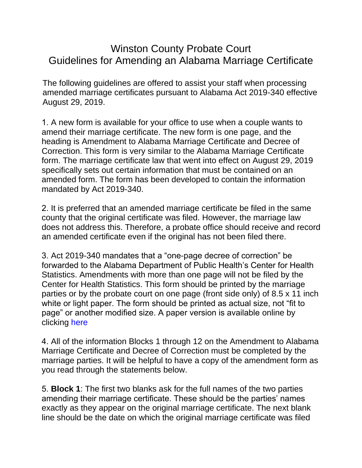## Winston County Probate Court Guidelines for Amending an Alabama Marriage Certificate

The following guidelines are offered to assist your staff when processing amended marriage certificates pursuant to Alabama Act 2019-340 effective August 29, 2019.

1. A new form is available for your office to use when a couple wants to amend their marriage certificate. The new form is one page, and the heading is Amendment to Alabama Marriage Certificate and Decree of Correction. This form is very similar to the Alabama Marriage Certificate form. The marriage certificate law that went into effect on August 29, 2019 specifically sets out certain information that must be contained on an amended form. The form has been developed to contain the information mandated by Act 2019-340.

2. It is preferred that an amended marriage certificate be filed in the same county that the original certificate was filed. However, the marriage law does not address this. Therefore, a probate office should receive and record an amended certificate even if the original has not been filed there.

3. Act 2019-340 mandates that a "one-page decree of correction" be forwarded to the Alabama Department of Public Health's Center for Health Statistics. Amendments with more than one page will not be filed by the Center for Health Statistics. This form should be printed by the marriage parties or by the probate court on one page (front side only) of 8.5 x 11 inch white or light paper. The form should be printed as actual size, not "fit to page" or another modified size. A paper version is available online by clicking [here](https://www.teamingenuity.com/winstoncountyprobate/Sites/Winston_County_Probate/Documents/Main/Amendment%20to%20Marriage%20Cert%20and%20Decree%20of%20Correction.pdf)

4. All of the information Blocks 1 through 12 on the Amendment to Alabama Marriage Certificate and Decree of Correction must be completed by the marriage parties. It will be helpful to have a copy of the amendment form as you read through the statements below.

5. **Block 1**: The first two blanks ask for the full names of the two parties amending their marriage certificate. These should be the parties' names exactly as they appear on the original marriage certificate. The next blank line should be the date on which the original marriage certificate was filed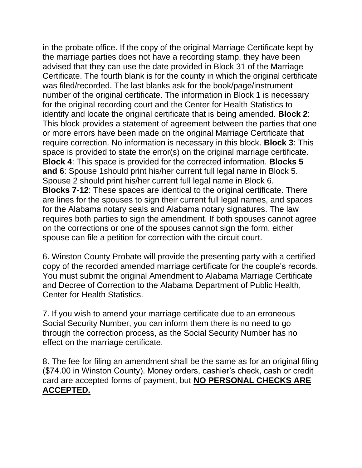in the probate office. If the copy of the original Marriage Certificate kept by the marriage parties does not have a recording stamp, they have been advised that they can use the date provided in Block 31 of the Marriage Certificate. The fourth blank is for the county in which the original certificate was filed/recorded. The last blanks ask for the book/page/instrument number of the original certificate. The information in Block 1 is necessary for the original recording court and the Center for Health Statistics to identify and locate the original certificate that is being amended. **Block 2**: This block provides a statement of agreement between the parties that one or more errors have been made on the original Marriage Certificate that require correction. No information is necessary in this block. **Block 3**: This space is provided to state the error(s) on the original marriage certificate. **Block 4**: This space is provided for the corrected information. **Blocks 5 and 6**: Spouse 1should print his/her current full legal name in Block 5. Spouse 2 should print his/her current full legal name in Block 6. **Blocks 7-12**: These spaces are identical to the original certificate. There are lines for the spouses to sign their current full legal names, and spaces for the Alabama notary seals and Alabama notary signatures. The law requires both parties to sign the amendment. If both spouses cannot agree on the corrections or one of the spouses cannot sign the form, either spouse can file a petition for correction with the circuit court.

6. Winston County Probate will provide the presenting party with a certified copy of the recorded amended marriage certificate for the couple's records. You must submit the original Amendment to Alabama Marriage Certificate and Decree of Correction to the Alabama Department of Public Health, Center for Health Statistics.

7. If you wish to amend your marriage certificate due to an erroneous Social Security Number, you can inform them there is no need to go through the correction process, as the Social Security Number has no effect on the marriage certificate.

8. The fee for filing an amendment shall be the same as for an original filing (\$74.00 in Winston County). Money orders, cashier's check, cash or credit card are accepted forms of payment, but **NO PERSONAL CHECKS ARE ACCEPTED.**